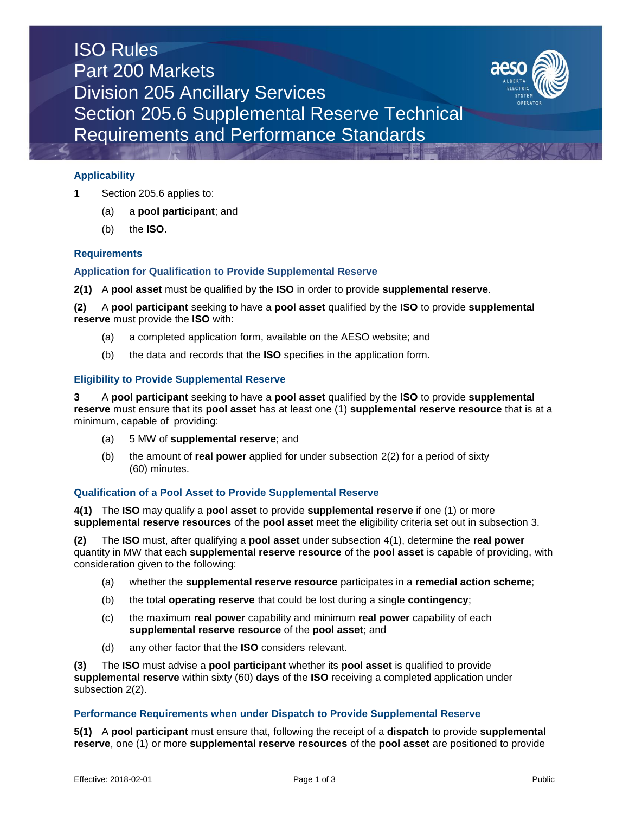# ISO Rules Part 200 Markets Division 205 Ancillary Services Section 205.6 Supplemental Reserve Technical Requirements and Performance Standards



## **Applicability**

- **1** Section 205.6 applies to:
	- (a) a **pool participant**; and
	- (b) the **ISO**.

#### **Requirements**

#### **Application for Qualification to Provide Supplemental Reserve**

**2(1)** A **pool asset** must be qualified by the **ISO** in order to provide **supplemental reserve**.

**(2)** A **pool participant** seeking to have a **pool asset** qualified by the **ISO** to provide **supplemental reserve** must provide the **ISO** with:

- (a) a completed application form, available on the AESO website; and
- (b) the data and records that the **ISO** specifies in the application form.

#### **Eligibility to Provide Supplemental Reserve**

**3** A **pool participant** seeking to have a **pool asset** qualified by the **ISO** to provide **supplemental reserve** must ensure that its **pool asset** has at least one (1) **supplemental reserve resource** that is at a minimum, capable of providing:

- (a) 5 MW of **supplemental reserve**; and
- (b) the amount of **real power** applied for under subsection 2(2) for a period of sixty (60) minutes.

#### **Qualification of a Pool Asset to Provide Supplemental Reserve**

**4(1)** The **ISO** may qualify a **pool asset** to provide **supplemental reserve** if one (1) or more **supplemental reserve resources** of the **pool asset** meet the eligibility criteria set out in subsection 3.

**(2)** The **ISO** must, after qualifying a **pool asset** under subsection 4(1), determine the **real power**  quantity in MW that each **supplemental reserve resource** of the **pool asset** is capable of providing, with consideration given to the following:

- (a) whether the **supplemental reserve resource** participates in a **remedial action scheme**;
- (b) the total **operating reserve** that could be lost during a single **contingency**;
- (c) the maximum **real power** capability and minimum **real power** capability of each **supplemental reserve resource** of the **pool asset**; and
- (d) any other factor that the **ISO** considers relevant.

**(3)** The **ISO** must advise a **pool participant** whether its **pool asset** is qualified to provide **supplemental reserve** within sixty (60) **days** of the **ISO** receiving a completed application under subsection 2(2).

#### **Performance Requirements when under Dispatch to Provide Supplemental Reserve**

**5(1)** A **pool participant** must ensure that, following the receipt of a **dispatch** to provide **supplemental reserve**, one (1) or more **supplemental reserve resources** of the **pool asset** are positioned to provide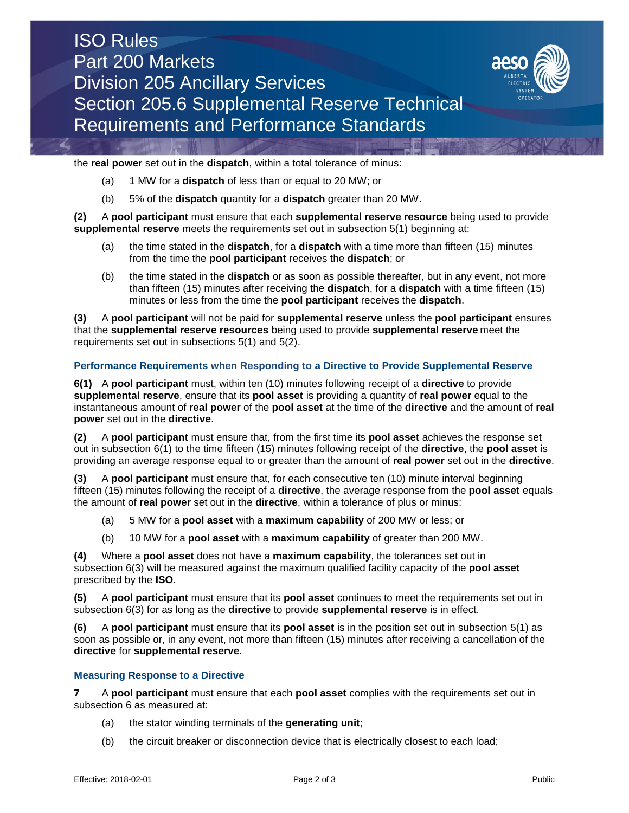



the **real power** set out in the **dispatch**, within a total tolerance of minus:

- (a) 1 MW for a **dispatch** of less than or equal to 20 MW; or
- (b) 5% of the **dispatch** quantity for a **dispatch** greater than 20 MW.

**(2)** A **pool participant** must ensure that each **supplemental reserve resource** being used to provide **supplemental reserve** meets the requirements set out in subsection 5(1) beginning at:

- (a) the time stated in the **dispatch**, for a **dispatch** with a time more than fifteen (15) minutes from the time the **pool participant** receives the **dispatch**; or
- (b) the time stated in the **dispatch** or as soon as possible thereafter, but in any event, not more than fifteen (15) minutes after receiving the **dispatch**, for a **dispatch** with a time fifteen (15) minutes or less from the time the **pool participant** receives the **dispatch**.

**(3)** A **pool participant** will not be paid for **supplemental reserve** unless the **pool participant** ensures that the **supplemental reserve resources** being used to provide **supplemental reserve** meet the requirements set out in subsections 5(1) and 5(2).

#### **Performance Requirements when Responding to a Directive to Provide Supplemental Reserve**

**6(1)** A **pool participant** must, within ten (10) minutes following receipt of a **directive** to provide **supplemental reserve**, ensure that its **pool asset** is providing a quantity of **real power** equal to the instantaneous amount of **real power** of the **pool asset** at the time of the **directive** and the amount of **real power** set out in the **directive**.

**(2)** A **pool participant** must ensure that, from the first time its **pool asset** achieves the response set out in subsection 6(1) to the time fifteen (15) minutes following receipt of the **directive**, the **pool asset** is providing an average response equal to or greater than the amount of **real power** set out in the **directive**.

**(3)** A **pool participant** must ensure that, for each consecutive ten (10) minute interval beginning fifteen (15) minutes following the receipt of a **directive**, the average response from the **pool asset** equals the amount of **real power** set out in the **directive**, within a tolerance of plus or minus:

- (a) 5 MW for a **pool asset** with a **maximum capability** of 200 MW or less; or
- (b) 10 MW for a **pool asset** with a **maximum capability** of greater than 200 MW.

**(4)** Where a **pool asset** does not have a **maximum capability**, the tolerances set out in subsection 6(3) will be measured against the maximum qualified facility capacity of the **pool asset** prescribed by the **ISO**.

**(5)** A **pool participant** must ensure that its **pool asset** continues to meet the requirements set out in subsection 6(3) for as long as the **directive** to provide **supplemental reserve** is in effect.

**(6)** A **pool participant** must ensure that its **pool asset** is in the position set out in subsection 5(1) as soon as possible or, in any event, not more than fifteen (15) minutes after receiving a cancellation of the **directive** for **supplemental reserve**.

## **Measuring Response to a Directive**

**7** A **pool participant** must ensure that each **pool asset** complies with the requirements set out in subsection 6 as measured at:

- (a) the stator winding terminals of the **generating unit**;
- (b) the circuit breaker or disconnection device that is electrically closest to each load;